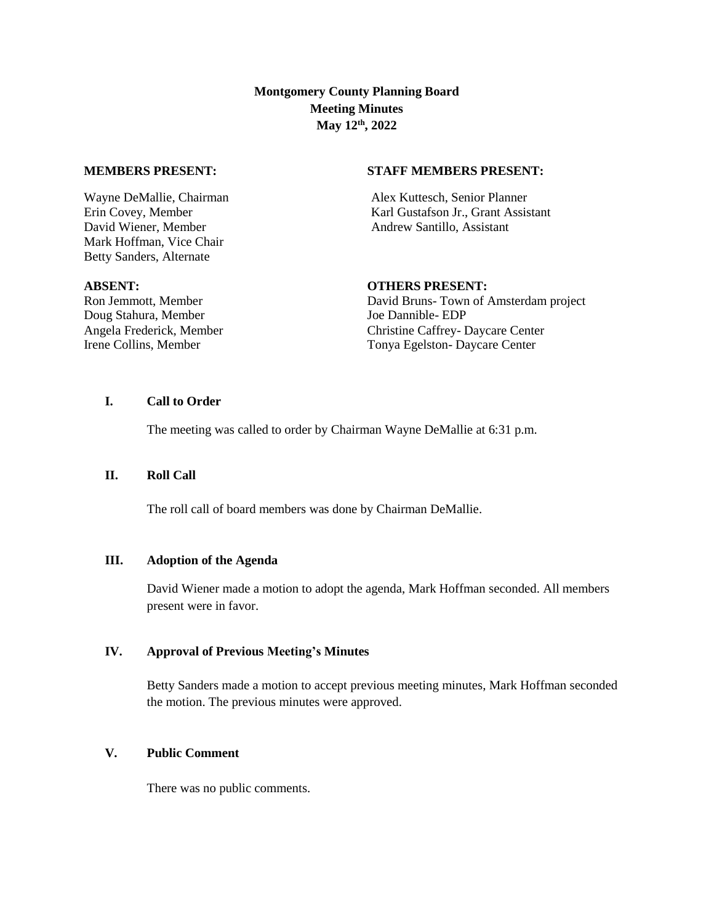**Montgomery County Planning Board Meeting Minutes May 12th, 2022**

David Wiener, Member Andrew Santillo, Assistant Mark Hoffman, Vice Chair Betty Sanders, Alternate

#### **MEMBERS PRESENT: STAFF MEMBERS PRESENT:**

Wayne DeMallie, Chairman Alex Kuttesch, Senior Planner<br>
Alex Kuttesch, Senior Planner<br>
Assis Karl Gustafson Jr., Grant Assis Karl Gustafson Jr., Grant Assistant

Doug Stahura, Member Joe Dannible- EDP

#### **ABSENT: OTHERS PRESENT:**

Ron Jemmott, Member David Bruns- Town of Amsterdam project Angela Frederick, Member **Christine Caffrey- Daycare Center** Christine Caffrey- Daycare Center Irene Collins, Member Tonya Egelston- Daycare Center

# **I. Call to Order**

The meeting was called to order by Chairman Wayne DeMallie at 6:31 p.m.

# **II. Roll Call**

The roll call of board members was done by Chairman DeMallie.

#### **III. Adoption of the Agenda**

David Wiener made a motion to adopt the agenda, Mark Hoffman seconded. All members present were in favor.

### **IV. Approval of Previous Meeting's Minutes**

Betty Sanders made a motion to accept previous meeting minutes, Mark Hoffman seconded the motion. The previous minutes were approved.

## **V. Public Comment**

There was no public comments.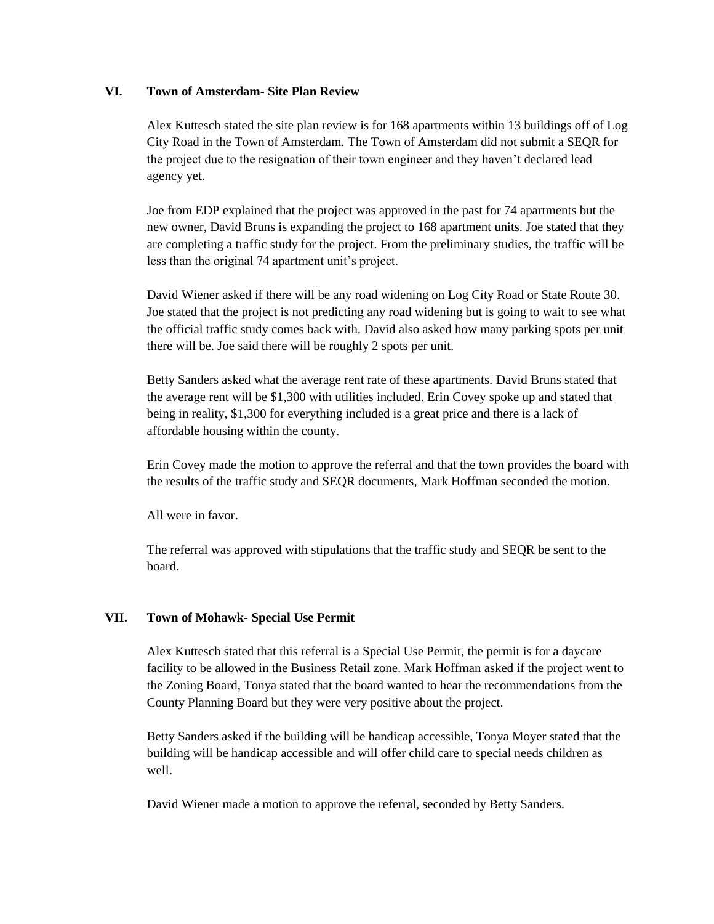## **VI. Town of Amsterdam- Site Plan Review**

Alex Kuttesch stated the site plan review is for 168 apartments within 13 buildings off of Log City Road in the Town of Amsterdam. The Town of Amsterdam did not submit a SEQR for the project due to the resignation of their town engineer and they haven't declared lead agency yet.

Joe from EDP explained that the project was approved in the past for 74 apartments but the new owner, David Bruns is expanding the project to 168 apartment units. Joe stated that they are completing a traffic study for the project. From the preliminary studies, the traffic will be less than the original 74 apartment unit's project.

David Wiener asked if there will be any road widening on Log City Road or State Route 30. Joe stated that the project is not predicting any road widening but is going to wait to see what the official traffic study comes back with. David also asked how many parking spots per unit there will be. Joe said there will be roughly 2 spots per unit.

Betty Sanders asked what the average rent rate of these apartments. David Bruns stated that the average rent will be \$1,300 with utilities included. Erin Covey spoke up and stated that being in reality, \$1,300 for everything included is a great price and there is a lack of affordable housing within the county.

Erin Covey made the motion to approve the referral and that the town provides the board with the results of the traffic study and SEQR documents, Mark Hoffman seconded the motion.

All were in favor.

The referral was approved with stipulations that the traffic study and SEQR be sent to the board.

## **VII. Town of Mohawk- Special Use Permit**

Alex Kuttesch stated that this referral is a Special Use Permit, the permit is for a daycare facility to be allowed in the Business Retail zone. Mark Hoffman asked if the project went to the Zoning Board, Tonya stated that the board wanted to hear the recommendations from the County Planning Board but they were very positive about the project.

Betty Sanders asked if the building will be handicap accessible, Tonya Moyer stated that the building will be handicap accessible and will offer child care to special needs children as well.

David Wiener made a motion to approve the referral, seconded by Betty Sanders.